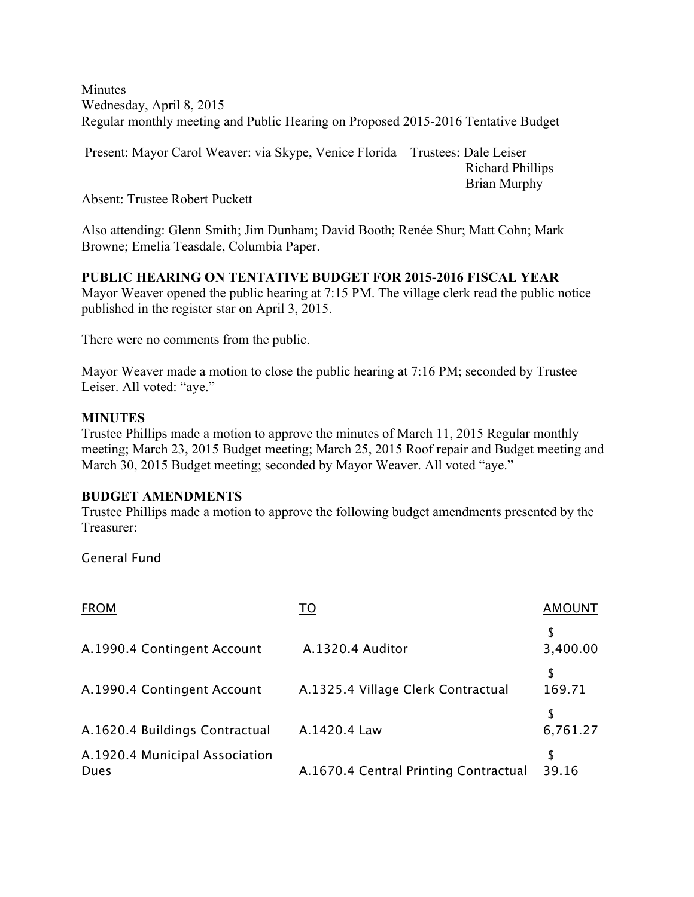**Minutes** Wednesday, April 8, 2015 Regular monthly meeting and Public Hearing on Proposed 2015-2016 Tentative Budget

Present: Mayor Carol Weaver: via Skype, Venice Florida Trustees: Dale Leiser Richard Phillips Brian Murphy

Absent: Trustee Robert Puckett

Also attending: Glenn Smith; Jim Dunham; David Booth; Renée Shur; Matt Cohn; Mark Browne; Emelia Teasdale, Columbia Paper.

**PUBLIC HEARING ON TENTATIVE BUDGET FOR 2015-2016 FISCAL YEAR**

Mayor Weaver opened the public hearing at 7:15 PM. The village clerk read the public notice published in the register star on April 3, 2015.

There were no comments from the public.

Mayor Weaver made a motion to close the public hearing at 7:16 PM; seconded by Trustee Leiser. All voted: "aye."

#### **MINUTES**

Trustee Phillips made a motion to approve the minutes of March 11, 2015 Regular monthly meeting; March 23, 2015 Budget meeting; March 25, 2015 Roof repair and Budget meeting and March 30, 2015 Budget meeting; seconded by Mayor Weaver. All voted "aye."

#### **BUDGET AMENDMENTS**

Trustee Phillips made a motion to approve the following budget amendments presented by the Treasurer:

General Fund

| <b>FROM</b>                                   | то                                    | <b>AMOUNT</b>  |
|-----------------------------------------------|---------------------------------------|----------------|
| A.1990.4 Contingent Account                   | A.1320.4 Auditor                      | S<br>3,400.00  |
| A.1990.4 Contingent Account                   | A.1325.4 Village Clerk Contractual    | \$<br>169.71   |
| A.1620.4 Buildings Contractual                | A.1420.4 Law                          | \$<br>6,761.27 |
| A.1920.4 Municipal Association<br><b>Dues</b> | A.1670.4 Central Printing Contractual | S<br>39.16     |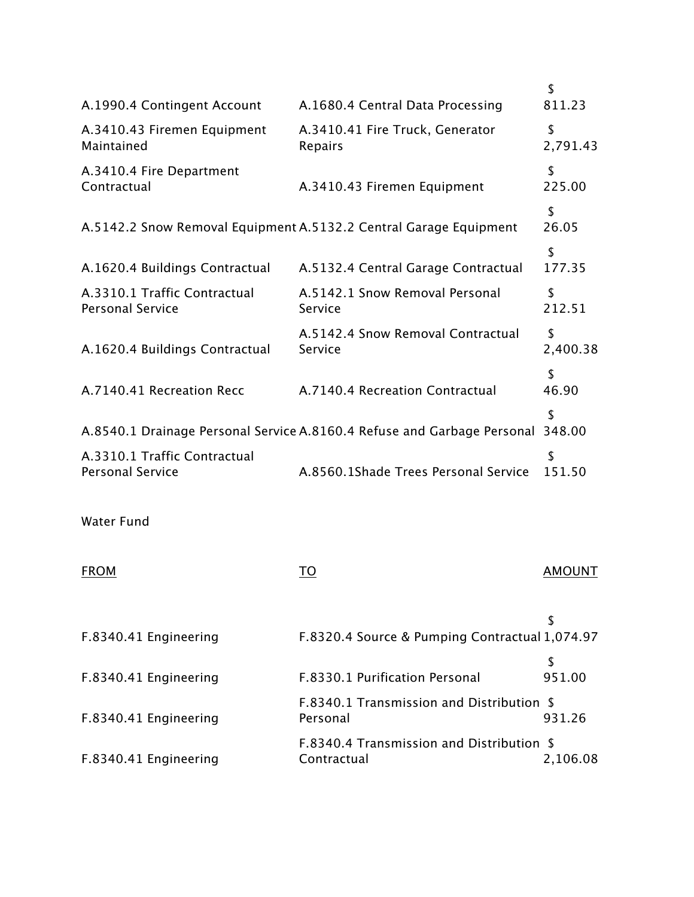|                                                         |                                                                         | \$             |
|---------------------------------------------------------|-------------------------------------------------------------------------|----------------|
| A.1990.4 Contingent Account                             | A.1680.4 Central Data Processing                                        | 811.23         |
| A.3410.43 Firemen Equipment<br>Maintained               | A.3410.41 Fire Truck, Generator<br>Repairs                              | \$<br>2,791.43 |
| A.3410.4 Fire Department<br>Contractual                 | A.3410.43 Firemen Equipment                                             | \$<br>225.00   |
|                                                         | A.5142.2 Snow Removal Equipment A.5132.2 Central Garage Equipment       | \$<br>26.05    |
| A.1620.4 Buildings Contractual                          | A.5132.4 Central Garage Contractual                                     | \$<br>177.35   |
| A.3310.1 Traffic Contractual<br><b>Personal Service</b> | A.5142.1 Snow Removal Personal<br>Service                               | \$<br>212.51   |
| A.1620.4 Buildings Contractual                          | A.5142.4 Snow Removal Contractual<br>Service                            | \$<br>2,400.38 |
| A.7140.41 Recreation Recc                               | A.7140.4 Recreation Contractual                                         | \$<br>46.90    |
|                                                         | A.8540.1 Drainage Personal Service A.8160.4 Refuse and Garbage Personal | \$<br>348.00   |
| A.3310.1 Traffic Contractual<br><b>Personal Service</b> | A.8560.1Shade Trees Personal Service                                    | \$<br>151.50   |
| <b>Water Fund</b>                                       |                                                                         |                |
| <b>FROM</b>                                             | TO                                                                      | <b>AMOUNT</b>  |
|                                                         |                                                                         | \$             |
| F.8340.41 Engineering                                   | F.8320.4 Source & Pumping Contractual 1,074.97                          |                |
| F.8340.41 Engineering                                   | F.8330.1 Purification Personal                                          | \$<br>951.00   |
| F.8340.41 Engineering                                   | F.8340.1 Transmission and Distribution \$<br>Personal                   | 931.26         |
| F.8340.41 Engineering                                   | F.8340.4 Transmission and Distribution \$<br>Contractual                | 2,106.08       |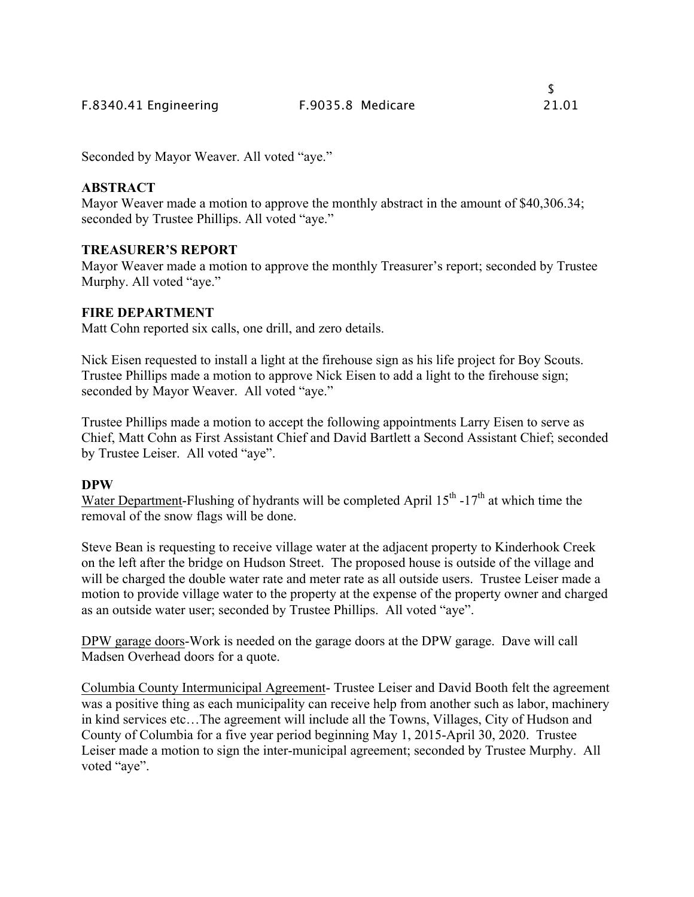Seconded by Mayor Weaver. All voted "aye."

## **ABSTRACT**

Mayor Weaver made a motion to approve the monthly abstract in the amount of \$40,306.34; seconded by Trustee Phillips. All voted "aye."

## **TREASURER'S REPORT**

Mayor Weaver made a motion to approve the monthly Treasurer's report; seconded by Trustee Murphy. All voted "aye."

# **FIRE DEPARTMENT**

Matt Cohn reported six calls, one drill, and zero details.

Nick Eisen requested to install a light at the firehouse sign as his life project for Boy Scouts. Trustee Phillips made a motion to approve Nick Eisen to add a light to the firehouse sign; seconded by Mayor Weaver. All voted "aye."

Trustee Phillips made a motion to accept the following appointments Larry Eisen to serve as Chief, Matt Cohn as First Assistant Chief and David Bartlett a Second Assistant Chief; seconded by Trustee Leiser. All voted "aye".

## **DPW**

Water Department-Flushing of hydrants will be completed April  $15^{th}$  -17<sup>th</sup> at which time the removal of the snow flags will be done.

Steve Bean is requesting to receive village water at the adjacent property to Kinderhook Creek on the left after the bridge on Hudson Street. The proposed house is outside of the village and will be charged the double water rate and meter rate as all outside users. Trustee Leiser made a motion to provide village water to the property at the expense of the property owner and charged as an outside water user; seconded by Trustee Phillips. All voted "aye".

DPW garage doors-Work is needed on the garage doors at the DPW garage. Dave will call Madsen Overhead doors for a quote.

Columbia County Intermunicipal Agreement- Trustee Leiser and David Booth felt the agreement was a positive thing as each municipality can receive help from another such as labor, machinery in kind services etc…The agreement will include all the Towns, Villages, City of Hudson and County of Columbia for a five year period beginning May 1, 2015-April 30, 2020. Trustee Leiser made a motion to sign the inter-municipal agreement; seconded by Trustee Murphy. All voted "aye".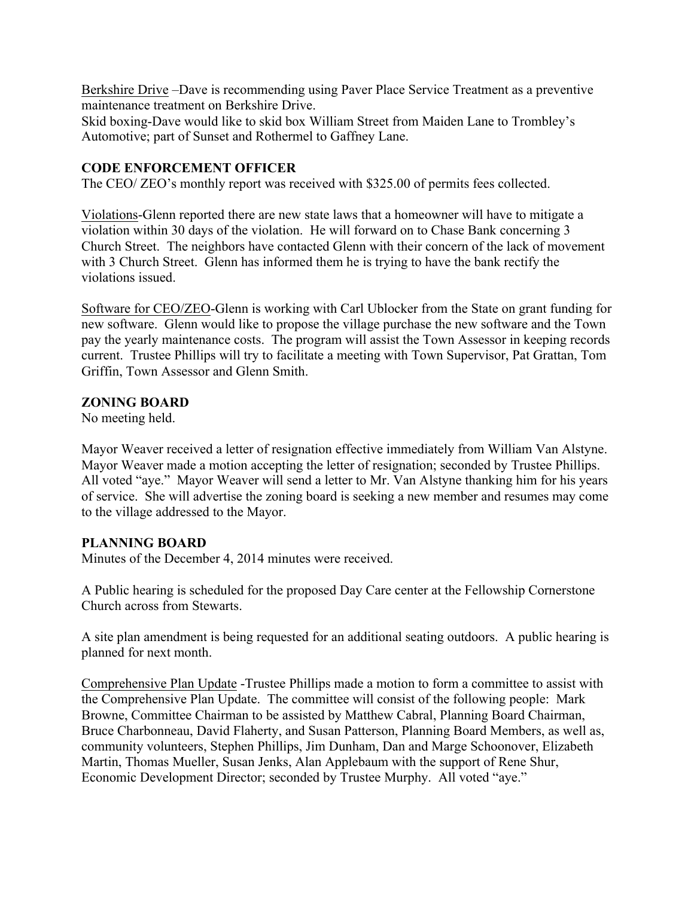Berkshire Drive –Dave is recommending using Paver Place Service Treatment as a preventive maintenance treatment on Berkshire Drive.

Skid boxing-Dave would like to skid box William Street from Maiden Lane to Trombley's Automotive; part of Sunset and Rothermel to Gaffney Lane.

### **CODE ENFORCEMENT OFFICER**

The CEO/ ZEO's monthly report was received with \$325.00 of permits fees collected.

Violations-Glenn reported there are new state laws that a homeowner will have to mitigate a violation within 30 days of the violation. He will forward on to Chase Bank concerning 3 Church Street. The neighbors have contacted Glenn with their concern of the lack of movement with 3 Church Street. Glenn has informed them he is trying to have the bank rectify the violations issued.

Software for CEO/ZEO-Glenn is working with Carl Ublocker from the State on grant funding for new software. Glenn would like to propose the village purchase the new software and the Town pay the yearly maintenance costs. The program will assist the Town Assessor in keeping records current. Trustee Phillips will try to facilitate a meeting with Town Supervisor, Pat Grattan, Tom Griffin, Town Assessor and Glenn Smith.

### **ZONING BOARD**

No meeting held.

Mayor Weaver received a letter of resignation effective immediately from William Van Alstyne. Mayor Weaver made a motion accepting the letter of resignation; seconded by Trustee Phillips. All voted "aye." Mayor Weaver will send a letter to Mr. Van Alstyne thanking him for his years of service. She will advertise the zoning board is seeking a new member and resumes may come to the village addressed to the Mayor.

## **PLANNING BOARD**

Minutes of the December 4, 2014 minutes were received.

A Public hearing is scheduled for the proposed Day Care center at the Fellowship Cornerstone Church across from Stewarts.

A site plan amendment is being requested for an additional seating outdoors. A public hearing is planned for next month.

Comprehensive Plan Update -Trustee Phillips made a motion to form a committee to assist with the Comprehensive Plan Update. The committee will consist of the following people: Mark Browne, Committee Chairman to be assisted by Matthew Cabral, Planning Board Chairman, Bruce Charbonneau, David Flaherty, and Susan Patterson, Planning Board Members, as well as, community volunteers, Stephen Phillips, Jim Dunham, Dan and Marge Schoonover, Elizabeth Martin, Thomas Mueller, Susan Jenks, Alan Applebaum with the support of Rene Shur, Economic Development Director; seconded by Trustee Murphy. All voted "aye."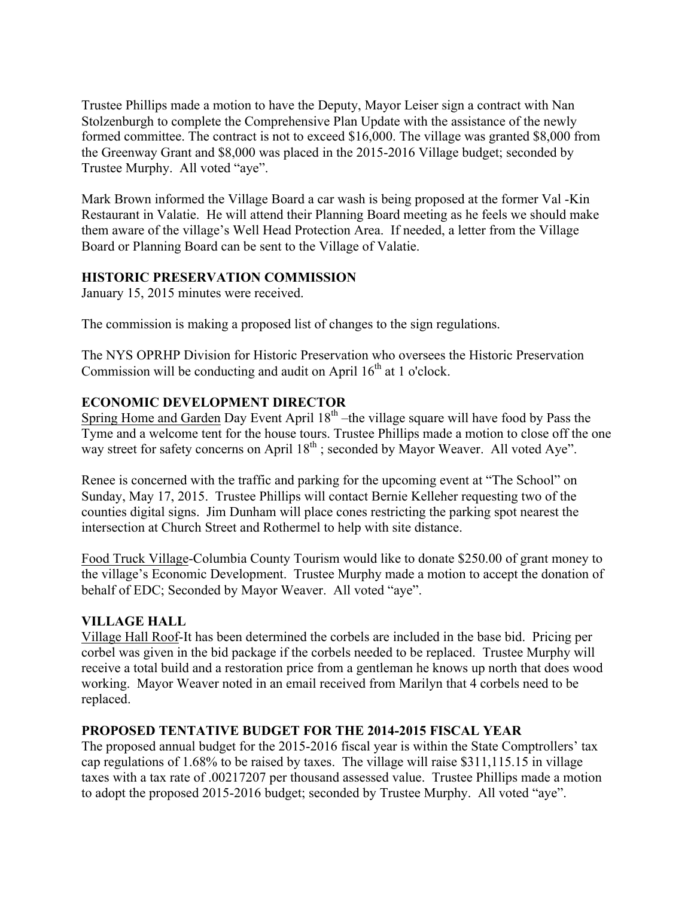Trustee Phillips made a motion to have the Deputy, Mayor Leiser sign a contract with Nan Stolzenburgh to complete the Comprehensive Plan Update with the assistance of the newly formed committee. The contract is not to exceed \$16,000. The village was granted \$8,000 from the Greenway Grant and \$8,000 was placed in the 2015-2016 Village budget; seconded by Trustee Murphy. All voted "aye".

Mark Brown informed the Village Board a car wash is being proposed at the former Val -Kin Restaurant in Valatie. He will attend their Planning Board meeting as he feels we should make them aware of the village's Well Head Protection Area. If needed, a letter from the Village Board or Planning Board can be sent to the Village of Valatie.

## **HISTORIC PRESERVATION COMMISSION**

January 15, 2015 minutes were received.

The commission is making a proposed list of changes to the sign regulations.

The NYS OPRHP Division for Historic Preservation who oversees the Historic Preservation Commission will be conducting and audit on April  $16<sup>th</sup>$  at 1 o'clock.

# **ECONOMIC DEVELOPMENT DIRECTOR**

Spring Home and Garden Day Event April  $18<sup>th</sup>$  –the village square will have food by Pass the Tyme and a welcome tent for the house tours. Trustee Phillips made a motion to close off the one way street for safety concerns on April  $18<sup>th</sup>$ ; seconded by Mayor Weaver. All voted Aye".

Renee is concerned with the traffic and parking for the upcoming event at "The School" on Sunday, May 17, 2015. Trustee Phillips will contact Bernie Kelleher requesting two of the counties digital signs. Jim Dunham will place cones restricting the parking spot nearest the intersection at Church Street and Rothermel to help with site distance.

Food Truck Village-Columbia County Tourism would like to donate \$250.00 of grant money to the village's Economic Development. Trustee Murphy made a motion to accept the donation of behalf of EDC; Seconded by Mayor Weaver. All voted "aye".

## **VILLAGE HALL**

Village Hall Roof-It has been determined the corbels are included in the base bid. Pricing per corbel was given in the bid package if the corbels needed to be replaced. Trustee Murphy will receive a total build and a restoration price from a gentleman he knows up north that does wood working. Mayor Weaver noted in an email received from Marilyn that 4 corbels need to be replaced.

# **PROPOSED TENTATIVE BUDGET FOR THE 2014-2015 FISCAL YEAR**

The proposed annual budget for the 2015-2016 fiscal year is within the State Comptrollers' tax cap regulations of 1.68% to be raised by taxes. The village will raise \$311,115.15 in village taxes with a tax rate of .00217207 per thousand assessed value. Trustee Phillips made a motion to adopt the proposed 2015-2016 budget; seconded by Trustee Murphy. All voted "aye".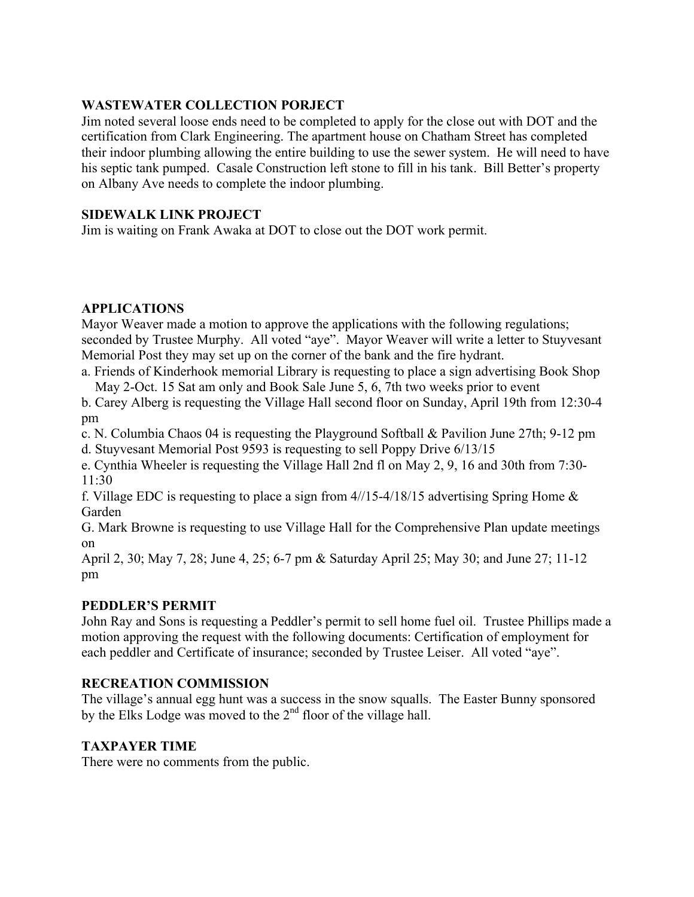## **WASTEWATER COLLECTION PORJECT**

Jim noted several loose ends need to be completed to apply for the close out with DOT and the certification from Clark Engineering. The apartment house on Chatham Street has completed their indoor plumbing allowing the entire building to use the sewer system. He will need to have his septic tank pumped. Casale Construction left stone to fill in his tank. Bill Better's property on Albany Ave needs to complete the indoor plumbing.

### **SIDEWALK LINK PROJECT**

Jim is waiting on Frank Awaka at DOT to close out the DOT work permit.

## **APPLICATIONS**

Mayor Weaver made a motion to approve the applications with the following regulations; seconded by Trustee Murphy. All voted "aye". Mayor Weaver will write a letter to Stuyvesant Memorial Post they may set up on the corner of the bank and the fire hydrant.

a. Friends of Kinderhook memorial Library is requesting to place a sign advertising Book Shop May 2-Oct. 15 Sat am only and Book Sale June 5, 6, 7th two weeks prior to event

b. Carey Alberg is requesting the Village Hall second floor on Sunday, April 19th from 12:30-4 pm

c. N. Columbia Chaos 04 is requesting the Playground Softball & Pavilion June 27th; 9-12 pm

d. Stuyvesant Memorial Post 9593 is requesting to sell Poppy Drive 6/13/15

e. Cynthia Wheeler is requesting the Village Hall 2nd fl on May 2, 9, 16 and 30th from 7:30- 11:30

f. Village EDC is requesting to place a sign from  $4/15-4/18/15$  advertising Spring Home  $\&$ Garden

G. Mark Browne is requesting to use Village Hall for the Comprehensive Plan update meetings on

April 2, 30; May 7, 28; June 4, 25; 6-7 pm & Saturday April 25; May 30; and June 27; 11-12 pm

## **PEDDLER'S PERMIT**

John Ray and Sons is requesting a Peddler's permit to sell home fuel oil. Trustee Phillips made a motion approving the request with the following documents: Certification of employment for each peddler and Certificate of insurance; seconded by Trustee Leiser. All voted "aye".

## **RECREATION COMMISSION**

The village's annual egg hunt was a success in the snow squalls. The Easter Bunny sponsored by the Elks Lodge was moved to the  $2<sup>nd</sup>$  floor of the village hall.

#### **TAXPAYER TIME**

There were no comments from the public.